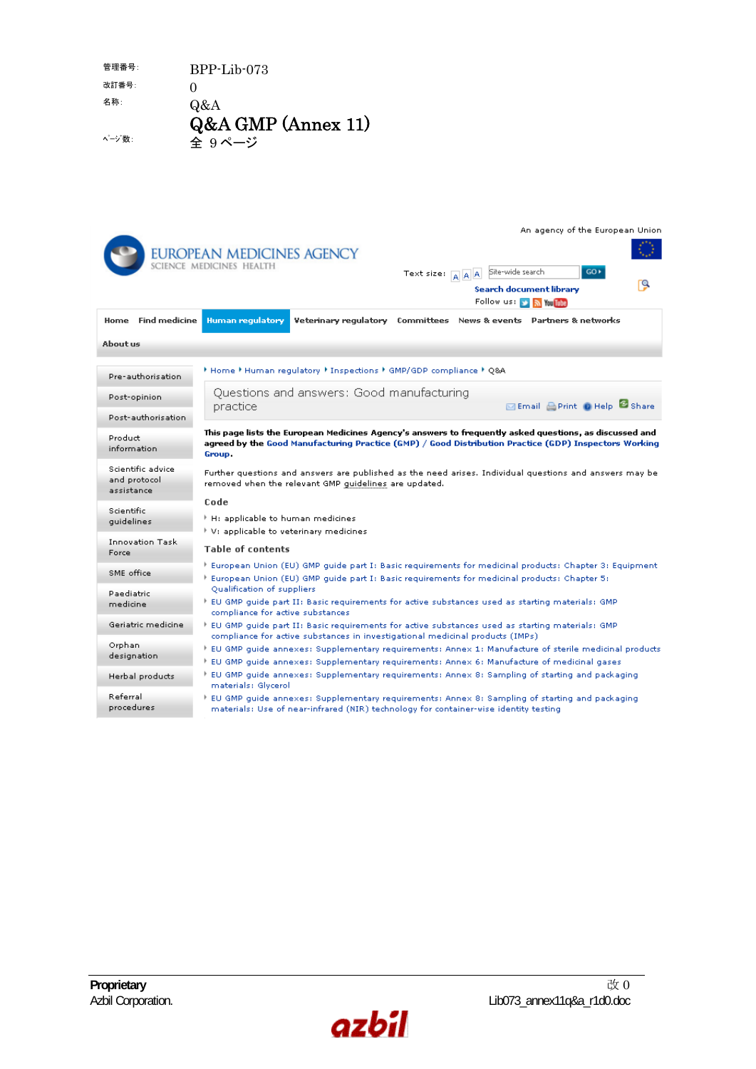| 管理番号:  | $BPP-Iib -073$     |
|--------|--------------------|
| 改訂番号:  | $\mathbf{\Omega}$  |
| 名称:    | Q&A                |
|        | Q&A GMP (Annex 11) |
| ページ 数: | 全 9ページ             |

|                                                  | An agency of the European Union<br><b>EUROPEAN MEDICINES AGENCY</b><br>SCIENCE MEDICINES HEALTH<br>Site-wide search<br>$GO +$<br>Text size: A A<br>Search document library<br>Follow us:<br><b>Sol</b> You Tube                                                                        |
|--------------------------------------------------|----------------------------------------------------------------------------------------------------------------------------------------------------------------------------------------------------------------------------------------------------------------------------------------|
| Home Find medicine                               | Veterinary regulatory Committees News & events Partners & networks<br>Human regulatory                                                                                                                                                                                                 |
| About us                                         |                                                                                                                                                                                                                                                                                        |
| Pre-authorisation                                | Mome * Human regulatory * Inspections * GMP/GDP compliance * Q&A *                                                                                                                                                                                                                     |
| Post-opinion                                     | Questions and answers: Good manufacturing<br>Email Print @ Help & Share<br>practice                                                                                                                                                                                                    |
| Post-authorisation                               |                                                                                                                                                                                                                                                                                        |
| Product<br>information                           | This page lists the European Medicines Agency's answers to frequently asked questions, as discussed and<br>agreed by the Good Manufacturing Practice (GMP) / Good Distribution Practice (GDP) Inspectors Working<br>Group.                                                             |
| Scientific advice.<br>and protocol<br>assistance | Further questions and answers are published as the need arises. Individual questions and answers may be<br>removed when the relevant GMP guidelines are updated.                                                                                                                       |
| Scientific<br>quidelines                         | Code<br>$\,$ H: applicable to human medicines<br>V: applicable to veterinary medicines                                                                                                                                                                                                 |
| <b>Innovation Task</b><br>Force                  | <b>Table of contents</b>                                                                                                                                                                                                                                                               |
| SME office                                       | European Union (EU) GMP guide part I: Basic requirements for medicinal products: Chapter 3: Equipment  <br>European Union (EU) GMP quide part I: Basic requirements for medicinal products: Chapter 5:                                                                                 |
| Paediatric<br>medicine                           | Qualification of suppliers<br>EU GMP guide part II: Basic requirements for active substances used as starting materials: GMP [<br>compliance for active substances                                                                                                                     |
| Geriatric medicine.                              | $\overline{\phantom{a}}$ EU GMP quide part II: Basic requirements for active substances used as starting materials: GMP                                                                                                                                                                |
| Orphan<br>designation                            | compliance for active substances in investigational medicinal products (IMPs)<br>EU GMP quide annexes: Supplementary requirements: Annex 1: Manufacture of sterile medicinal products<br>EU GMP guide annexes: Supplementary requirements: Annex 6: Manufacture of medicinal gases * [ |
| Herbal products                                  | EU GMP guide annexes: Supplementary requirements: Annex 8: Sampling of starting and packaging * [<br>materials: Glycerol                                                                                                                                                               |
| Referral<br>procedures                           | EU GMP guide annexes: Supplementary requirements: Annex 8: Sampling of starting and packaging * [<br>materials: Use of near-infrared (NIR) technology for container-wise identity testing                                                                                              |

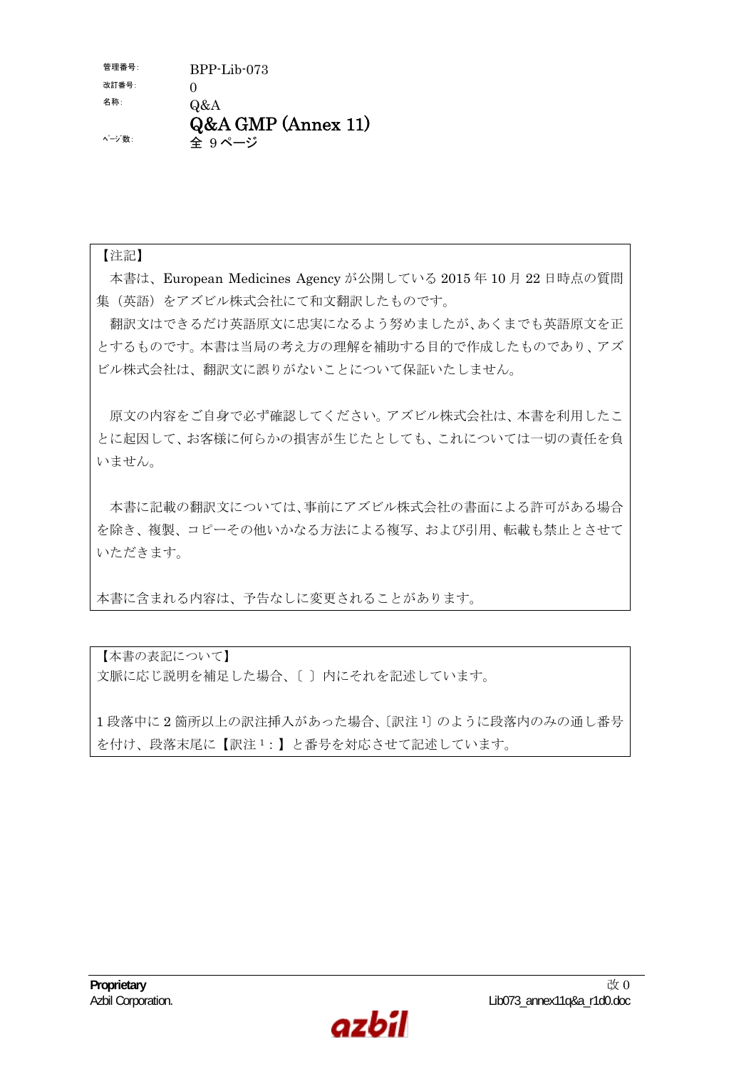$f$ 管理番号:  $BPP-Lib-073$ 改訂番号:  $0$ 名称: Q&A Q&A GMP (Annex 11) ページ数: 全 9 ページ

## 【注記】

本書は、European Medicines Agency が公開している 2015 年 10 月 22 日時点の質問 集(英語)をアズビル株式会社にて和文翻訳したものです。

翻訳文はできるだけ英語原文に忠実になるよう努めましたが、あくまでも英語原文を正 とするものです。本書は当局の考え方の理解を補助する目的で作成したものであり、アズ ビル株式会社は、翻訳文に誤りがないことについて保証いたしません。

原文の内容をご自身で必ず確認してください。アズビル株式会社は、本書を利用したこ とに起因して、お客様に何らかの損害が生じたとしても、これについては一切の責任を負 いません。

本書に記載の翻訳文については、事前にアズビル株式会社の書面による許可がある場合 を除き、複製、コピーその他いかなる方法による複写、および引用、転載も禁止とさせて いただきます。

本書に含まれる内容は、予告なしに変更されることがあります。

【本書の表記について】 文脈に応じ説明を補足した場合、〔 〕内にそれを記述しています。

1 段落中に 2 箇所以上の訳注挿入があった場合、〔訳注 <sup>1</sup>〕のように段落内のみの通し番号 を付け、段落末尾に【訳注 <sup>1</sup>:】と番号を対応させて記述しています。

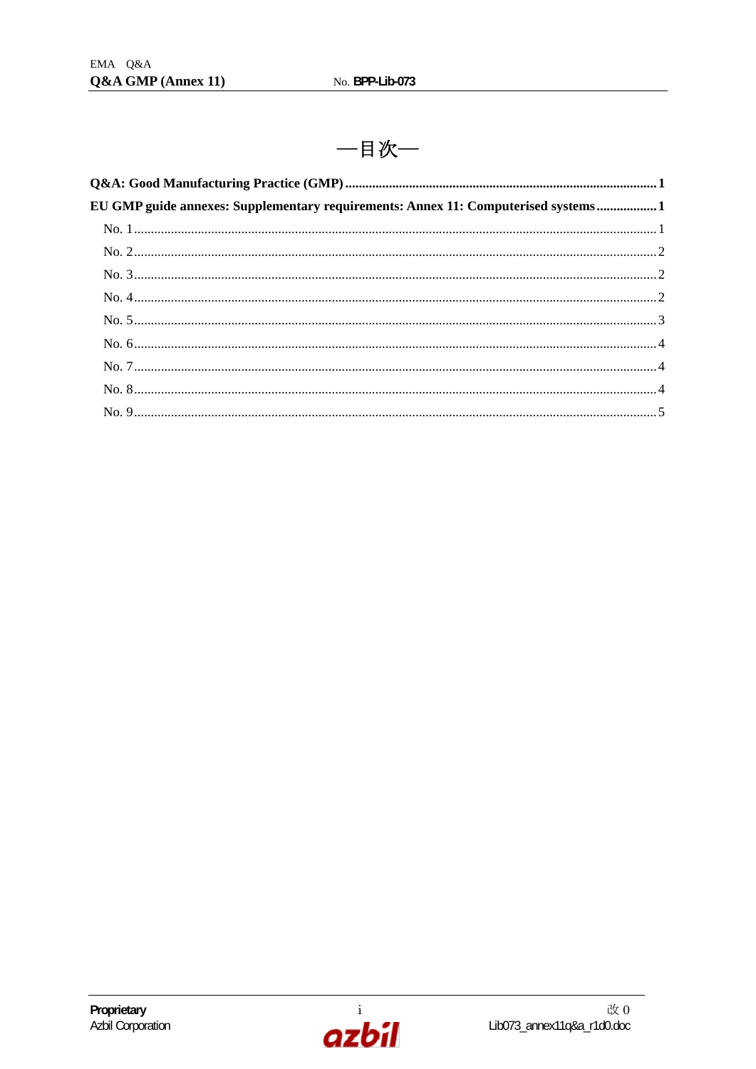一目次一

| EU GMP guide annexes: Supplementary requirements: Annex 11: Computerised systems 1 |  |
|------------------------------------------------------------------------------------|--|
|                                                                                    |  |
|                                                                                    |  |
|                                                                                    |  |
|                                                                                    |  |
|                                                                                    |  |
|                                                                                    |  |
|                                                                                    |  |
|                                                                                    |  |
|                                                                                    |  |

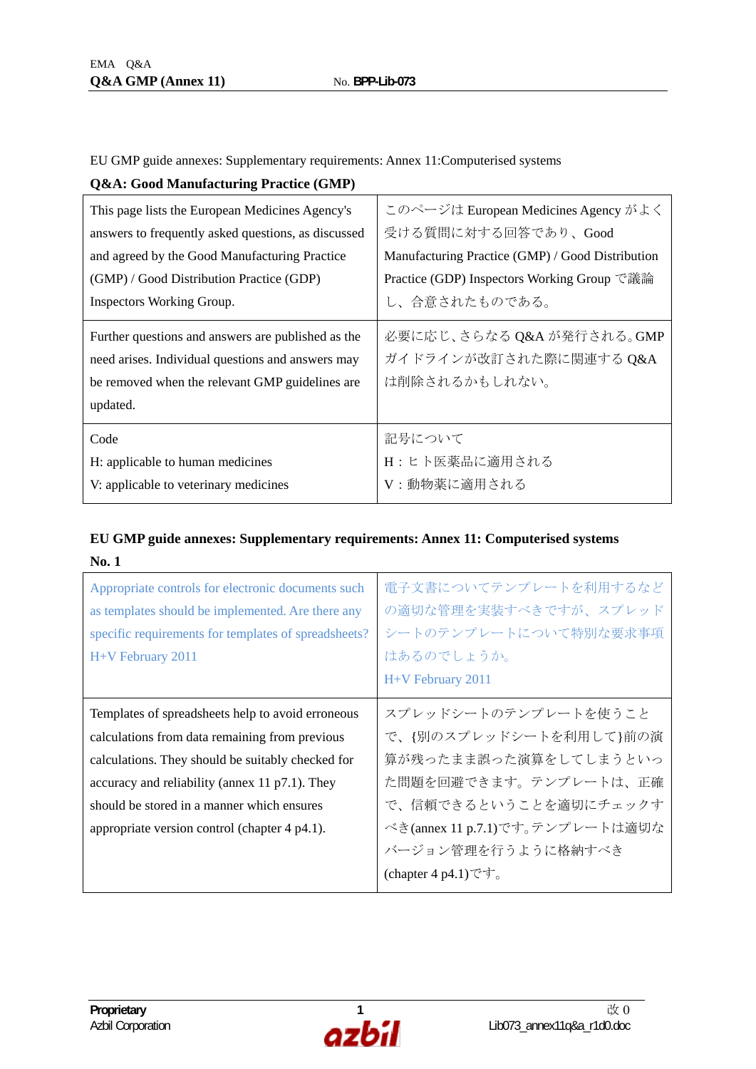EU GMP guide annexes: Supplementary requirements: Annex 11:Computerised systems

| <b>Q&amp;A: Good Manufacturing Practice (GMP)</b> |  |
|---------------------------------------------------|--|
|                                                   |  |

| This page lists the European Medicines Agency's     | このページは European Medicines Agency がよく             |
|-----------------------------------------------------|--------------------------------------------------|
| answers to frequently asked questions, as discussed | 受ける質問に対する回答であり、Good                              |
| and agreed by the Good Manufacturing Practice       | Manufacturing Practice (GMP) / Good Distribution |
| (GMP) / Good Distribution Practice (GDP)            | Practice (GDP) Inspectors Working Group で議論      |
| Inspectors Working Group.                           | し、合意されたものである。                                    |
| Further questions and answers are published as the  | 必要に応じ、さらなる Q&A が発行される。GMP                        |
| need arises. Individual questions and answers may   | ガイドラインが改訂された際に関連する Q&A                           |
| be removed when the relevant GMP guidelines are     | は削除されるかもしれない。                                    |
| updated.                                            |                                                  |
| Code                                                | 記号について                                           |
| H: applicable to human medicines                    | H:ヒト医薬品に適用される                                    |
| V: applicable to veterinary medicines               | V:動物薬に適用される                                      |

## **EU GMP guide annexes: Supplementary requirements: Annex 11: Computerised systems No. 1**

| Appropriate controls for electronic documents such<br>as templates should be implemented. Are there any<br>specific requirements for templates of spreadsheets?<br>H+V February 2011                                                                                                                      | 電子文書についてテンプレートを利用するなど<br>の適切な管理を実装すべきですが、スプレッド<br>シートのテンプレートについて特別な要求事項<br>はあるのでしょうか。<br>H+V February 2011                                                                                                                                           |
|-----------------------------------------------------------------------------------------------------------------------------------------------------------------------------------------------------------------------------------------------------------------------------------------------------------|------------------------------------------------------------------------------------------------------------------------------------------------------------------------------------------------------------------------------------------------------|
| Templates of spreadsheets help to avoid erroneous<br>calculations from data remaining from previous<br>calculations. They should be suitably checked for<br>accuracy and reliability (annex 11 p7.1). They<br>should be stored in a manner which ensures<br>appropriate version control (chapter 4 p4.1). | スプレッドシートのテンプレートを使うこと<br>で、{別のスプレッドシートを利用して}前の演<br>算が残ったまま誤った演算をしてしまうといっ<br>た問題を回避できます。テンプレートは、正確<br>で、信頼できるということを適切にチェックす<br>べき(annex 11 p.7.1)です。テンプレートは適切な<br>バージョン管理を行うように格納すべき<br>(chapter 4 p4.1) $\check{\mathcal{C}}$ $\check{\mathcal{T}}_0$ |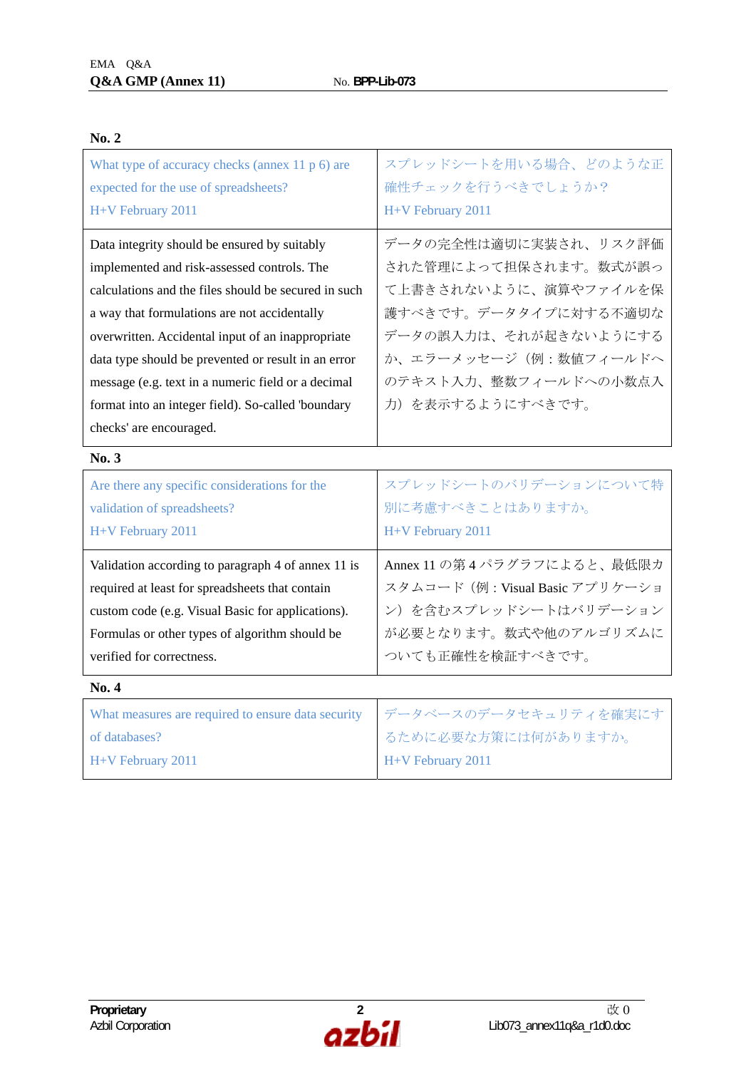| What type of accuracy checks (annex $11 p 6$ ) are<br>expected for the use of spreadsheets?<br>H+V February 2011                                                                                                                                                                                                                                                                                                                                       | スプレッドシートを用いる場合、どのような正<br>確性チェックを行うべきでしょうか?<br>H+V February 2011                                                                                                                                 |
|--------------------------------------------------------------------------------------------------------------------------------------------------------------------------------------------------------------------------------------------------------------------------------------------------------------------------------------------------------------------------------------------------------------------------------------------------------|-------------------------------------------------------------------------------------------------------------------------------------------------------------------------------------------------|
| Data integrity should be ensured by suitably<br>implemented and risk-assessed controls. The<br>calculations and the files should be secured in such<br>a way that formulations are not accidentally<br>overwritten. Accidental input of an inappropriate<br>data type should be prevented or result in an error<br>message (e.g. text in a numeric field or a decimal<br>format into an integer field). So-called 'boundary<br>checks' are encouraged. | データの完全性は適切に実装され、リスク評価<br>された管理によって担保されます。数式が誤っ<br>て上書きされないように、演算やファイルを保<br>護すべきです。データタイプに対する不適切な<br>データの誤入力は、それが起きないようにする<br>か、エラーメッセージ(例:数値フィールドへ<br>のテキスト入力、整数フィールドへの小数点入<br>力)を表示するようにすべきです。 |
| No. 3                                                                                                                                                                                                                                                                                                                                                                                                                                                  |                                                                                                                                                                                                 |
| Are there any specific considerations for the<br>validation of spreadsheets?<br>H+V February 2011                                                                                                                                                                                                                                                                                                                                                      | スプレッドシートのバリデーションについて特<br>別に考慮すべきことはありますか。<br>H+V February 2011                                                                                                                                  |
| Validation according to paragraph 4 of annex 11 is<br>required at least for spreadsheets that contain<br>custom code (e.g. Visual Basic for applications).<br>Formulas or other types of algorithm should be                                                                                                                                                                                                                                           | Annex 11 の第4パラグラフによると、最低限カ<br>スタムコード (例: Visual Basic アプリケーショ<br>ン)を含むスプレッドシートはバリデーション                                                                                                          |
| verified for correctness.                                                                                                                                                                                                                                                                                                                                                                                                                              | が必要となります。数式や他のアルゴリズムに<br>ついても正確性を検証すべきです。                                                                                                                                                       |
| No. 4                                                                                                                                                                                                                                                                                                                                                                                                                                                  |                                                                                                                                                                                                 |

## **No. 2**

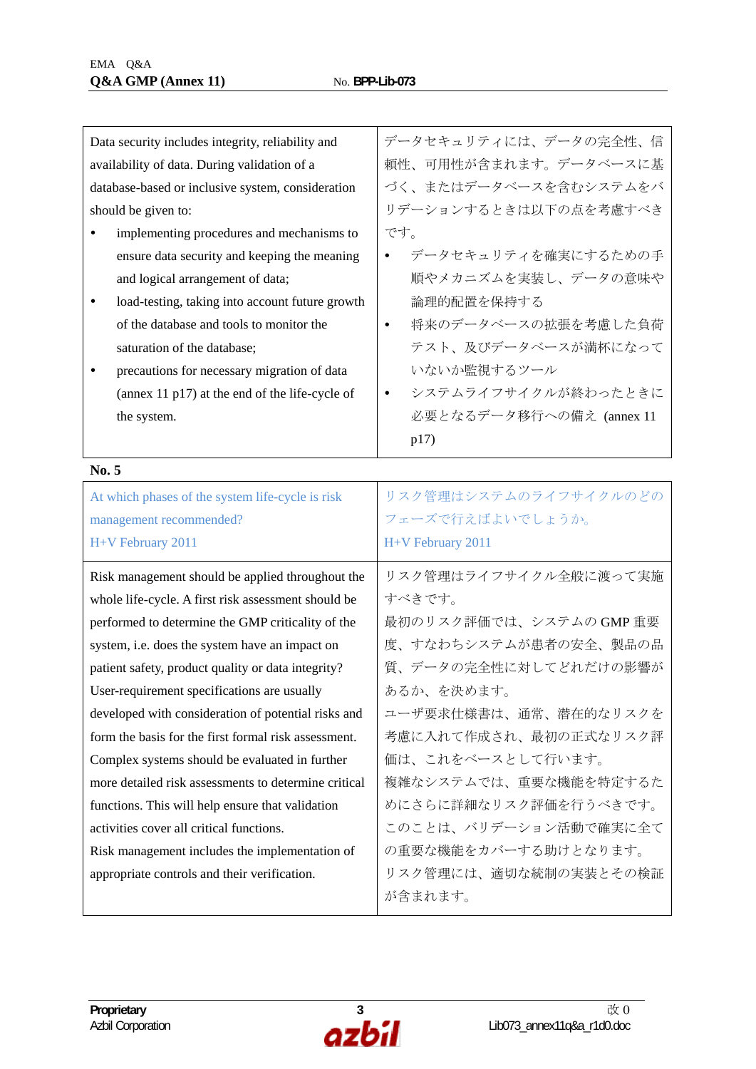| Data security includes integrity, reliability and    | データセキュリティには、データの完全性、信            |
|------------------------------------------------------|----------------------------------|
| availability of data. During validation of a         | 頼性、可用性が含まれます。データベースに基            |
| database-based or inclusive system, consideration    | づく、またはデータベースを含むシステムをバ            |
| should be given to:                                  | リデーションするときは以下の点を考慮すべき            |
| implementing procedures and mechanisms to            | です。                              |
| ensure data security and keeping the meaning         | データセキュリティを確実にするための手              |
| and logical arrangement of data;                     | 順やメカニズムを実装し、データの意味や              |
| load-testing, taking into account future growth      | 論理的配置を保持する                       |
| of the database and tools to monitor the             | 将来のデータベースの拡張を考慮した負荷<br>$\bullet$ |
| saturation of the database;                          | テスト、及びデータベースが満杯になって              |
| precautions for necessary migration of data          | いないか監視するツール                      |
| (annex $11$ p17) at the end of the life-cycle of     | システムライフサイクルが終わったときに<br>$\bullet$ |
| the system.                                          | 必要となるデータ移行への備え (annex 11         |
|                                                      | p17)                             |
| No. 5                                                |                                  |
| At which phases of the system life-cycle is risk     | リスク管理はシステムのライフサイクルのどの            |
|                                                      |                                  |
| management recommended?                              | フェーズで行えばよいでしょうか。                 |
| H+V February 2011                                    | H+V February 2011                |
| Risk management should be applied throughout the     | リスク管理はライフサイクル全般に渡って実施            |
| whole life-cycle. A first risk assessment should be  | すべきです。                           |
| performed to determine the GMP criticality of the    | 最初のリスク評価では、システムの GMP 重要          |
| system, i.e. does the system have an impact on       | 度、すなわちシステムが患者の安全、製品の品            |
| patient safety, product quality or data integrity?   | 質、データの完全性に対してどれだけの影響が            |
| User-requirement specifications are usually          | あるか、を決めます。                       |
| developed with consideration of potential risks and  | ユーザ要求仕様書は、通常、潜在的なリスクを            |
| form the basis for the first formal risk assessment. | 考慮に入れて作成され、最初の正式なリスク評            |
| Complex systems should be evaluated in further       | 価は、これをベースとして行います。                |
| more detailed risk assessments to determine critical | 複雑なシステムでは、重要な機能を特定するた            |
| functions. This will help ensure that validation     | めにさらに詳細なリスク評価を行うべきです。            |
| activities cover all critical functions.             | このことは、バリデーション活動で確実に全て            |
| Risk management includes the implementation of       | の重要な機能をカバーする助けとなります。             |
| appropriate controls and their verification.         | リスク管理には、適切な統制の実装とその検証            |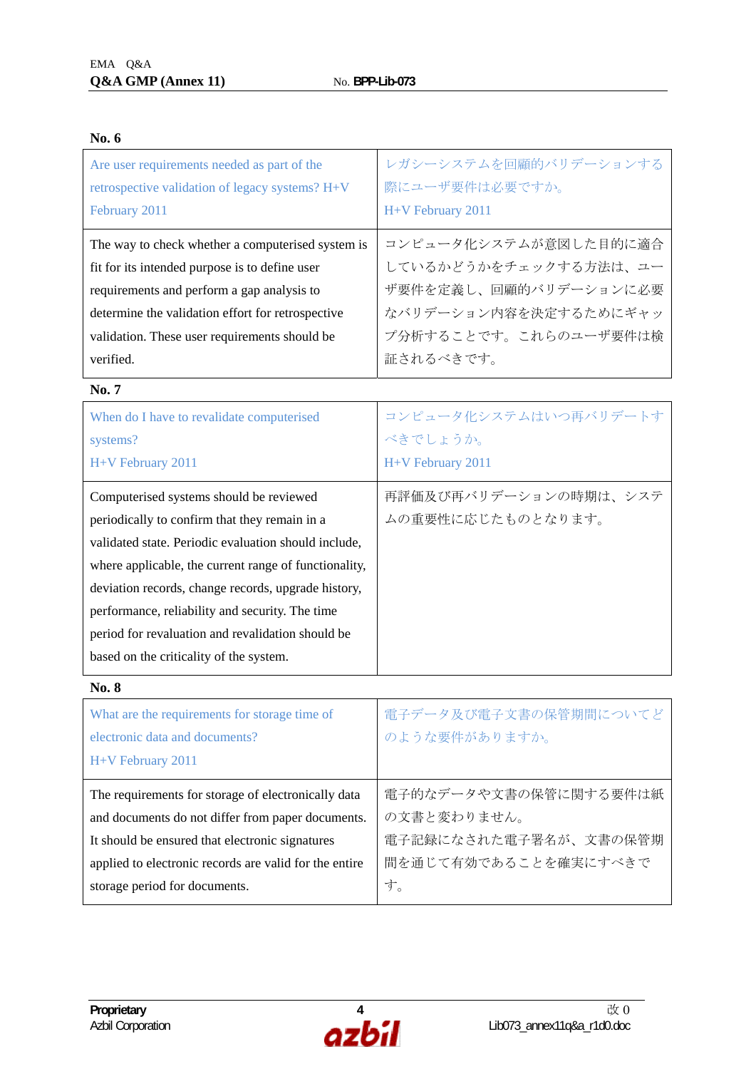| Are user requirements needed as part of the                                                                                                                                                                                                                                                                                                                                                                         | レガシーシステムを回顧的バリデーションする                      |
|---------------------------------------------------------------------------------------------------------------------------------------------------------------------------------------------------------------------------------------------------------------------------------------------------------------------------------------------------------------------------------------------------------------------|--------------------------------------------|
| retrospective validation of legacy systems? H+V                                                                                                                                                                                                                                                                                                                                                                     | 際にユーザ要件は必要ですか。                             |
| February 2011                                                                                                                                                                                                                                                                                                                                                                                                       | H+V February 2011                          |
| The way to check whether a computerised system is                                                                                                                                                                                                                                                                                                                                                                   | コンピュータ化システムが意図した目的に適合                      |
| fit for its intended purpose is to define user                                                                                                                                                                                                                                                                                                                                                                      | しているかどうかをチェックする方法は、ユー                      |
| requirements and perform a gap analysis to                                                                                                                                                                                                                                                                                                                                                                          | ザ要件を定義し、回顧的バリデーションに必要                      |
| determine the validation effort for retrospective                                                                                                                                                                                                                                                                                                                                                                   | なバリデーション内容を決定するためにギャッ                      |
| validation. These user requirements should be                                                                                                                                                                                                                                                                                                                                                                       | プ分析することです。これらのユーザ要件は検                      |
| verified.                                                                                                                                                                                                                                                                                                                                                                                                           | 証されるべきです。                                  |
| No. 7                                                                                                                                                                                                                                                                                                                                                                                                               |                                            |
| When do I have to revalidate computerised                                                                                                                                                                                                                                                                                                                                                                           | コンピュータ化システムはいつ再バリデートす                      |
| systems?                                                                                                                                                                                                                                                                                                                                                                                                            | べきでしょうか。                                   |
| H+V February 2011                                                                                                                                                                                                                                                                                                                                                                                                   | H+V February 2011                          |
| Computerised systems should be reviewed<br>periodically to confirm that they remain in a<br>validated state. Periodic evaluation should include,<br>where applicable, the current range of functionality,<br>deviation records, change records, upgrade history,<br>performance, reliability and security. The time<br>period for revaluation and revalidation should be<br>based on the criticality of the system. | 再評価及び再バリデーションの時期は、システ<br>ムの重要性に応じたものとなります。 |
| <b>No. 8</b>                                                                                                                                                                                                                                                                                                                                                                                                        |                                            |
| What are the requirements for storage time of<br>electronic data and documents?<br>H+V February 2011                                                                                                                                                                                                                                                                                                                | 電子データ及び電子文書の保管期間についてど<br>のような要件がありますか。     |
| The requirements for storage of electronically data                                                                                                                                                                                                                                                                                                                                                                 | 電子的なデータや文書の保管に関する要件は紙                      |
| and documents do not differ from paper documents.                                                                                                                                                                                                                                                                                                                                                                   | の文書と変わりません。                                |
| It should be ensured that electronic signatures                                                                                                                                                                                                                                                                                                                                                                     | 電子記録になされた電子署名が、文書の保管期                      |

applied to electronic records are valid for the entire

storage period for documents.



す。

間を通じて有効であることを確実にすべきで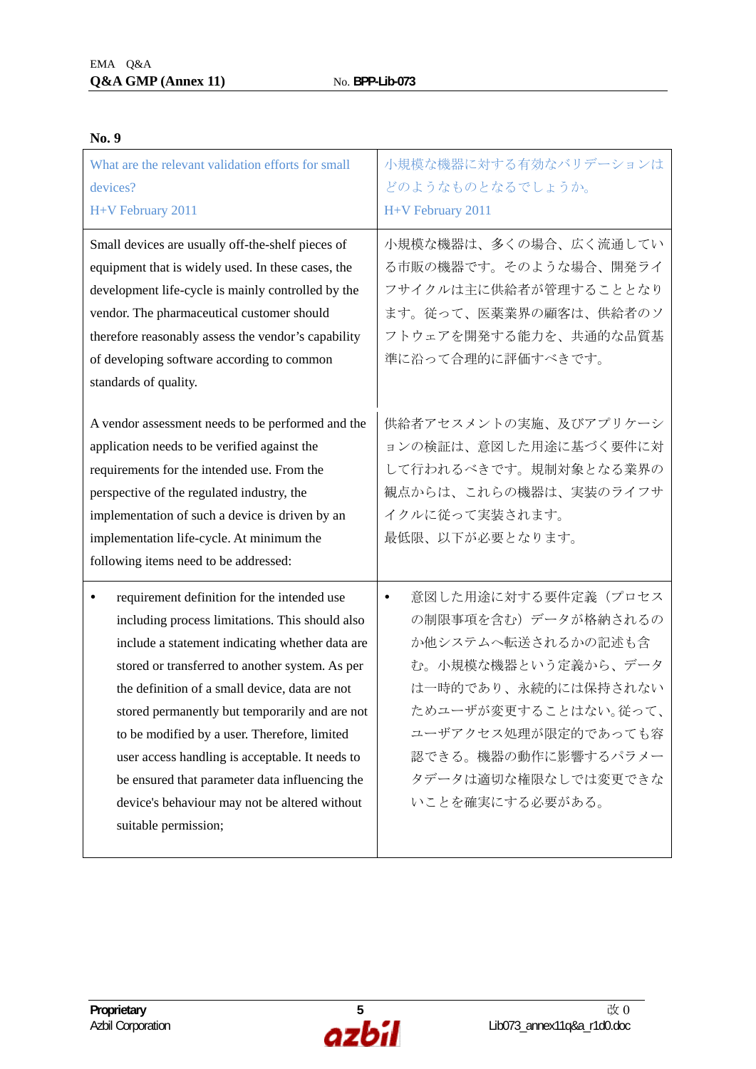| What are the relevant validation efforts for small<br>devices?<br>H+V February 2011                                                                                                                                                                                                                                                                                                                                                                                                                                                                 | 小規模な機器に対する有効なバリデーションは<br>どのようなものとなるでしょうか。<br>H+V February 2011                                                                                                                                                                              |
|-----------------------------------------------------------------------------------------------------------------------------------------------------------------------------------------------------------------------------------------------------------------------------------------------------------------------------------------------------------------------------------------------------------------------------------------------------------------------------------------------------------------------------------------------------|---------------------------------------------------------------------------------------------------------------------------------------------------------------------------------------------------------------------------------------------|
| Small devices are usually off-the-shelf pieces of<br>equipment that is widely used. In these cases, the<br>development life-cycle is mainly controlled by the<br>vendor. The pharmaceutical customer should<br>therefore reasonably assess the vendor's capability<br>of developing software according to common<br>standards of quality.                                                                                                                                                                                                           | 小規模な機器は、多くの場合、広く流通してい<br>る市販の機器です。そのような場合、開発ライ<br>フサイクルは主に供給者が管理することとなり<br>ます。従って、医薬業界の顧客は、供給者のソ<br>フトウェアを開発する能力を、共通的な品質基<br>準に沿って合理的に評価すべきです。                                                                                              |
| A vendor assessment needs to be performed and the<br>application needs to be verified against the<br>requirements for the intended use. From the<br>perspective of the regulated industry, the<br>implementation of such a device is driven by an<br>implementation life-cycle. At minimum the<br>following items need to be addressed:                                                                                                                                                                                                             | 供給者アセスメントの実施、及びアプリケーシ<br>ョンの検証は、意図した用途に基づく要件に対<br>して行われるべきです。規制対象となる業界の<br>観点からは、これらの機器は、実装のライフサ<br>イクルに従って実装されます。<br>最低限、以下が必要となります。                                                                                                       |
| requirement definition for the intended use<br>$\bullet$<br>including process limitations. This should also<br>include a statement indicating whether data are<br>stored or transferred to another system. As per<br>the definition of a small device, data are not<br>stored permanently but temporarily and are not<br>to be modified by a user. Therefore, limited<br>user access handling is acceptable. It needs to<br>be ensured that parameter data influencing the<br>device's behaviour may not be altered without<br>suitable permission; | 意図した用途に対する要件定義(プロセス<br>$\bullet$<br>の制限事項を含む)データが格納されるの<br>か他システムへ転送されるかの記述も含<br>む。小規模な機器という定義から、データ<br>は一時的であり、永続的には保持されない<br>ためユーザが変更することはない。従って、<br>ユーザアクセス処理が限定的であっても容<br>認できる。機器の動作に影響するパラメー<br>タデータは適切な権限なしでは変更できな<br>いことを確実にする必要がある。 |

## **No. 9**